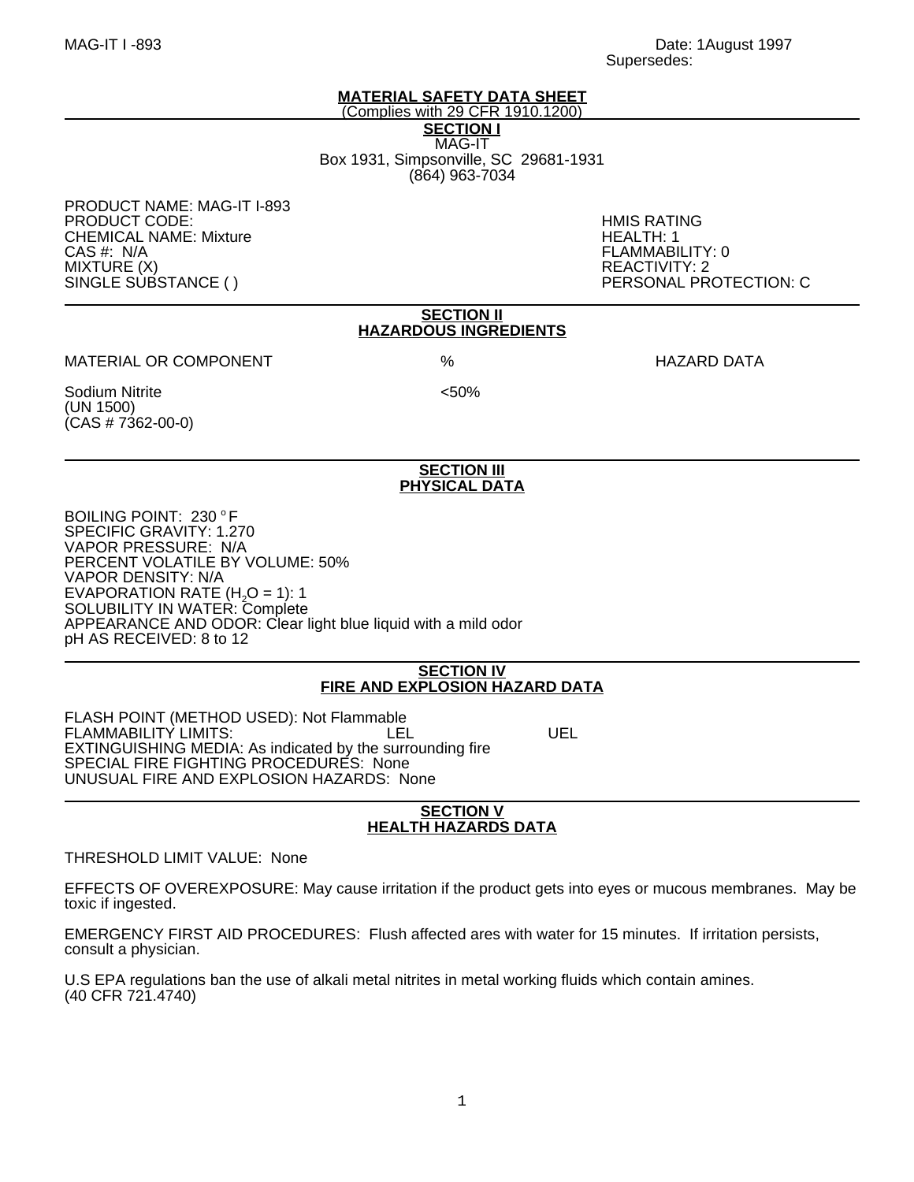# **MATERIAL SAFETY DATA SHEET** (Complies with 29 CFR 1910.1200)

**SECTION I** MAG-IT Box 1931, Simpsonville, SC 29681-1931 (864) 963-7034

PRODUCT NAME: MAG-IT I-893 PRODUCT CODE: HMIS RATING **CHEMICAL NAME: Mixture** CAS #: N/A FLAMMABILITY: 0 MIXTURE (X) REACTIVITY: 2

SINGLE SUBSTANCE ( ) PERSONAL PROTECTION: C

#### **SECTION II HAZARDOUS INGREDIENTS**

MATERIAL OR COMPONENT % HAZARD DATA

Sodium Nitrite <50% (UN 1500)  $(CAS # 7362-00-0)$ 

#### **SECTION III PHYSICAL DATA**

BOILING POINT: 230 °F SPECIFIC GRAVITY: 1.270 VAPOR PRESSURE: N/A PERCENT VOLATILE BY VOLUME: 50% VAPOR DENSITY: N/A EVAPORATION RATE  $(H<sub>2</sub>O = 1)$ : 1 SOLUBILITY IN WATER: Complete APPEARANCE AND ODOR: Clear light blue liquid with a mild odor pH AS RECEIVED: 8 to 12

#### **SECTION IV FIRE AND EXPLOSION HAZARD DATA**

FLASH POINT (METHOD USED): Not Flammable FLAMMABILITY LIMITS: LEL UEL EXTINGUISHING MEDIA: As indicated by the surrounding fire SPECIAL FIRE FIGHTING PROCEDURES: None UNUSUAL FIRE AND EXPLOSION HAZARDS: None

#### **SECTION V HEALTH HAZARDS DATA**

THRESHOLD LIMIT VALUE: None

EFFECTS OF OVEREXPOSURE: May cause irritation if the product gets into eyes or mucous membranes. May be toxic if ingested.

EMERGENCY FIRST AID PROCEDURES: Flush affected ares with water for 15 minutes. If irritation persists, consult a physician.

U.S EPA regulations ban the use of alkali metal nitrites in metal working fluids which contain amines. (40 CFR 721.4740)